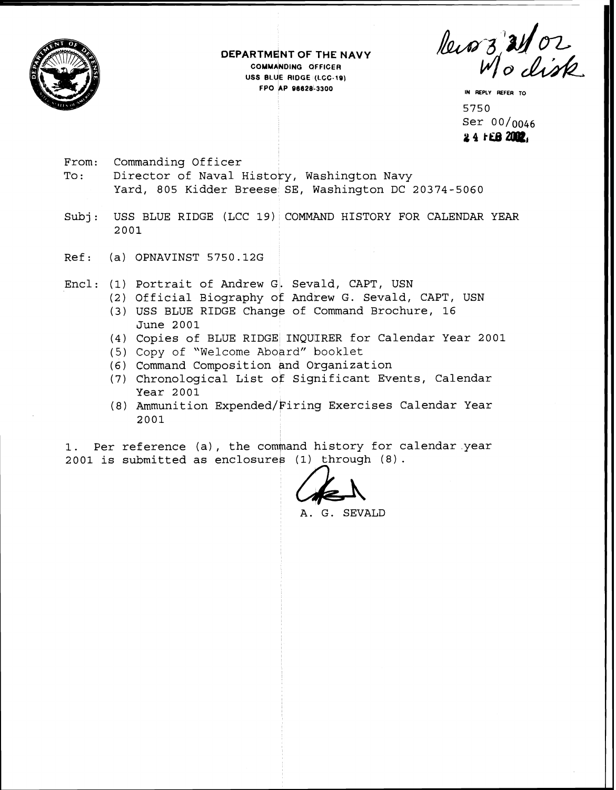

**DEPARTM NT OF THE NAVY COMM NOING dFFlC€R EXTMENT OF THE NA<br>
COMMANDING GFFICER**<br>
USS BLUE RIDGE (LCC-19)<br> **FPO AP 96628-3300 FPO kP 96628-3300 IN REPLY REFER TO** 

Recors 21/02

5750<br>Ser 00/<sub>0046</sub> 24 FEB 2002.

- From: Commanding Officer To: Director of Naval History, Washington Navy Yard, 805 Kidder Breese SE, Washington DC 20374-5060
- Subj: USS BLUE RIDGE (LCC 19) COMMAND HISTORY FOR CALENDAR YEAR 2001
- Ref: (a) OPNAVINST 5750.12G
- Encl: (1) Portrait of Andrew G. Sevald, CAPT, USN
	- (2) Official Biography of Andrew G. Sevald, CAPT, USN
	- (3) USS BLUE RIDGE Change of Command Brochure, 16 June 2001
	- (4) Copies of BLUE RIDGE INQUIRER for Calendar Year 2001
	- (5) Copy of "Welcome Aboard" booklet
	- (6) Command Composition end Otganization
	- (7) Chronological List of Significant Events, Calendar Year 2001
	- (8) Ammunition Expended/Firing Exercises Calendar Year 2001
- 1. Per reference (a), the command history for calendar year 2001 is submitted as enclosures (1) through (8).

A. G. SEVALD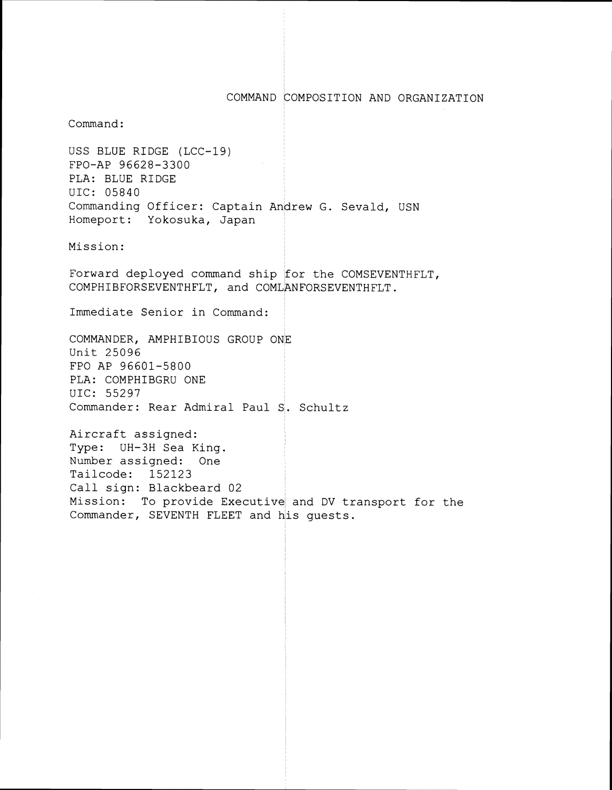## COMMAND COMPOSITION AND ORGANIZATION

Command :

USS BLUE RIDGE (LCC-19) FPO-AP 96628-3300 PLA: BLUE RIDGE UIC: 05840 cio: 55515<br>Commanding Officer: Captain An<mark>drew G. Sevald,</mark> USN Homeport: Yokosuka, Japan

Mission:

Forward deployed command ship for the COMSEVENTHFLT, COMPHIBFORSEVENTHFLT, and COMLANFORSEVENTHFLT.

Immediate Senior in Command:

COMMANDER, AMPHIBIOUS GROUP ONE Unit 25096 FPO AP 96601-5800 PLA: COMPHIBGRU ONE UIC: 55297 Commander: Rear Admiral Paul S:. Schultz

Aircraft assigned: <sup>I</sup> Type: UH-SH Sea King. Number assigned: One Tailcode: 152123 Call sign: Blackbeard 02 Mission: To provide Executive and DV transport for the Commander, SEVENTH FLEET and his guests.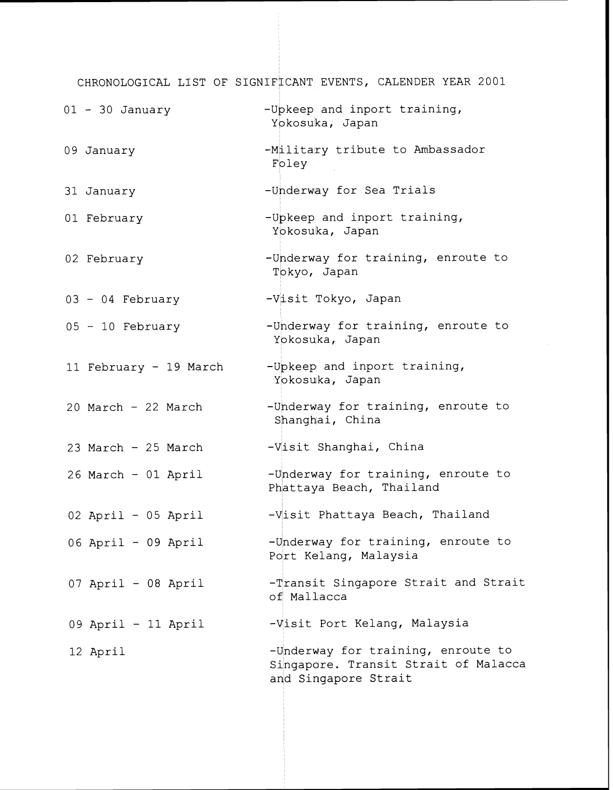CHRONOLOGICAL LIST OF SIGNIFICANT EVENTS, CALENDER YEAR 2001

| $01 - 30$ January      | -Upkeep and inport training,<br>Yokosuka, Japan                                                    |
|------------------------|----------------------------------------------------------------------------------------------------|
| 09 January             | -Military tribute to Ambassador<br>Foley                                                           |
| 31 January             | -Underway for Sea Trials                                                                           |
| 01 February            | -Upkeep and inport training,<br>Yokosuka, Japan                                                    |
| 02 February            | -Underway for training, enroute to<br>Tokyo, Japan                                                 |
| 03 - 04 February       | -Visit Tokyo, Japan                                                                                |
| $05 - 10$ February     | -Underway for training, enroute to<br>Yokosuka, Japan                                              |
| 11 February - 19 March | -Upkeep and inport training,<br>Yokosuka, Japan                                                    |
| 20 March - 22 March    | -Underway for training, enroute to<br>Shanghai, China                                              |
| 23 March - 25 March    | -Visit Shanghai, China                                                                             |
| 26 March - 01 April    | -Underway for training, enroute to<br>Phattaya Beach, Thailand                                     |
| $02$ April - 05 April  | -Visit Phattaya Beach, Thailand                                                                    |
| 06 April - 09 April    | -Underway for training, enroute to<br>Port Kelang, Malaysia                                        |
| 07 April - 08 April    | -Transit Singapore Strait and Strait<br>of Mallacca                                                |
| 09 April - 11 April    | -Visit Port Kelang, Malaysia                                                                       |
| 12 April               | -Underway for training, enroute to<br>Singapore. Transit Strait of Malacca<br>and Singapore Strait |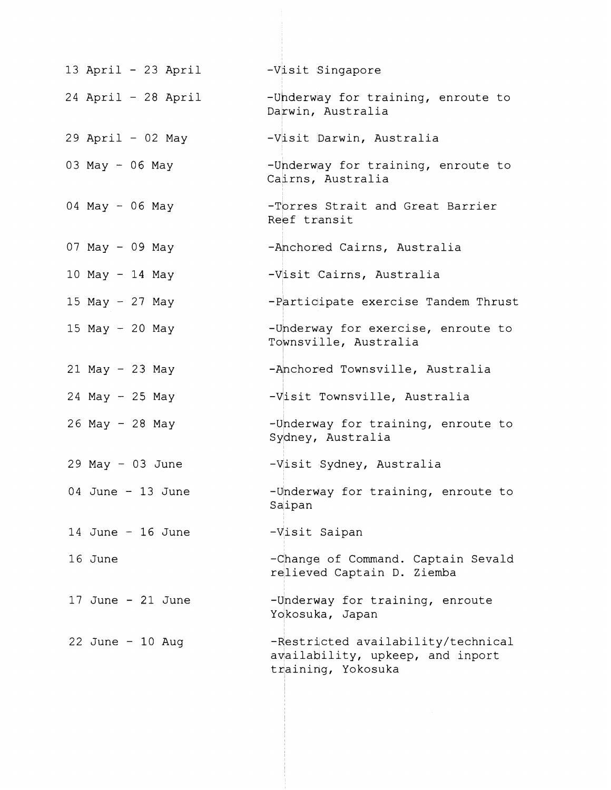| 13 April - 23 April   | -Visit Singapore                                                                             |
|-----------------------|----------------------------------------------------------------------------------------------|
| $24$ April - 28 April | -Underway for training, enroute to<br>Darwin, Australia                                      |
| $29$ April - 02 May   | -Visit Darwin, Australia                                                                     |
| 03 May - 06 May       | -Underway for training, enroute to<br>Cairns, Australia                                      |
| 04 May - 06 May       | -Torres Strait and Great Barrier<br>Reef transit                                             |
| 07 May - 09 May       | -Anchored Cairns, Australia                                                                  |
| $10$ May - 14 May     | -Visit Cairns, Australia                                                                     |
| 15 May $-$ 27 May     | -Participate exercise Tandem Thrust                                                          |
| 15 May $-$ 20 May     | -Underway for exercise, enroute to<br>Townsville, Australia                                  |
| $21$ May - 23 May     | -Anchored Townsville, Australia                                                              |
| $24$ May - 25 May     | -Visit Townsville, Australia                                                                 |
| 26 May - 28 May       | -Underway for training, enroute to<br>Sydney, Australia                                      |
| $29$ May - 03 June    | -Visit Sydney, Australia                                                                     |
| 04 June $-13$ June    | -Underway for training, enroute to<br>Saipan                                                 |
| 14 June $-$ 16 June   | -Visit Saipan                                                                                |
| 16 June               | -Change of Command. Captain Sevald<br>relieved Captain D. Ziemba                             |
| 17 June $-21$ June    | -Underway for training, enroute<br>Yokosuka, Japan                                           |
| 22 June $-10$ Aug     | -Restricted availability/technical<br>availability, upkeep, and inport<br>training, Yokosuka |
|                       |                                                                                              |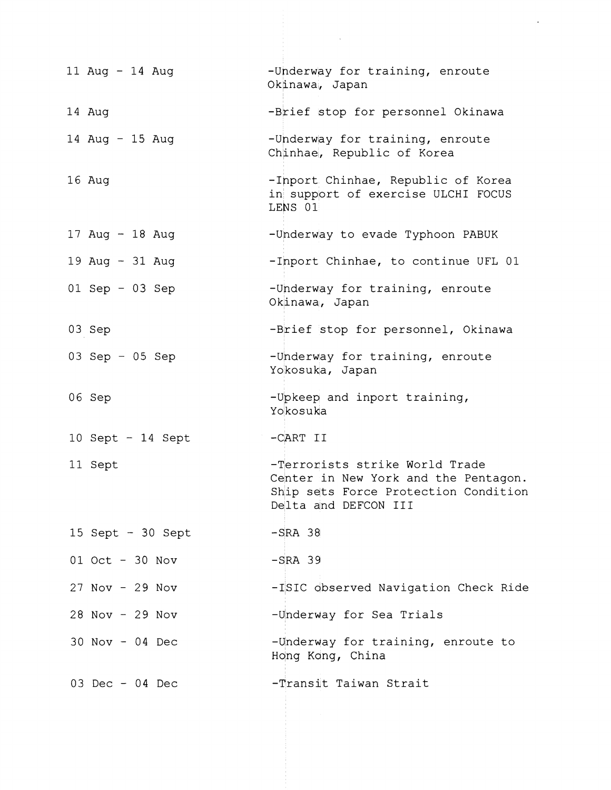| 11 Aug - 14 Aug     | -Underway for training, enroute<br>Okinawa, Japan                                                                                      |
|---------------------|----------------------------------------------------------------------------------------------------------------------------------------|
| 14 Aug              | -Brief stop for personnel Okinawa                                                                                                      |
| 14 Aug - 15 Aug     | -Underway for training, enroute<br>Chinhae, Republic of Korea                                                                          |
| 16 Aug              | -Inport Chinhae, Republic of Korea<br>in support of exercise ULCHI FOCUS<br>LENS 01                                                    |
| 17 Aug - 18 Aug     | -Underway to evade Typhoon PABUK                                                                                                       |
| 19 Aug - 31 Aug     | -Inport Chinhae, to continue UFL 01                                                                                                    |
| $01$ Sep - 03 Sep   | -Underway for training, enroute<br>Okinawa, Japan                                                                                      |
| 03 Sep              | -Brief stop for personnel, Okinawa                                                                                                     |
| 03 Sep $-$ 05 Sep   | -Underway for training, enroute<br>Yokosuka, Japan                                                                                     |
| 06 Sep              | -Upkeep and inport training,<br>Yokosuka                                                                                               |
| $10$ Sept - 14 Sept | $-CART$ II                                                                                                                             |
| 11 Sept             | -Terrorists strike World Trade<br>Center in New York and the Pentagon.<br>Ship sets Force Protection Condition<br>Delta and DEFCON III |
| 15 Sept $-30$ Sept  | $-SRA$ 38                                                                                                                              |
| 01 Oct - 30 Nov     | $-SRA$ 39                                                                                                                              |
| $27$ Nov - $29$ Nov | -ISIC observed Navigation Check Ride                                                                                                   |
| 28 Nov - 29 Nov     | -Underway for Sea Trials                                                                                                               |
| $30$ Nov - 04 Dec   | -Underway for training, enroute to<br>Hong Kong, China                                                                                 |
| 03 Dec - 04 Dec     | -Transit Taiwan Strait                                                                                                                 |

 $\mathcal{L}^{\mathcal{L}}$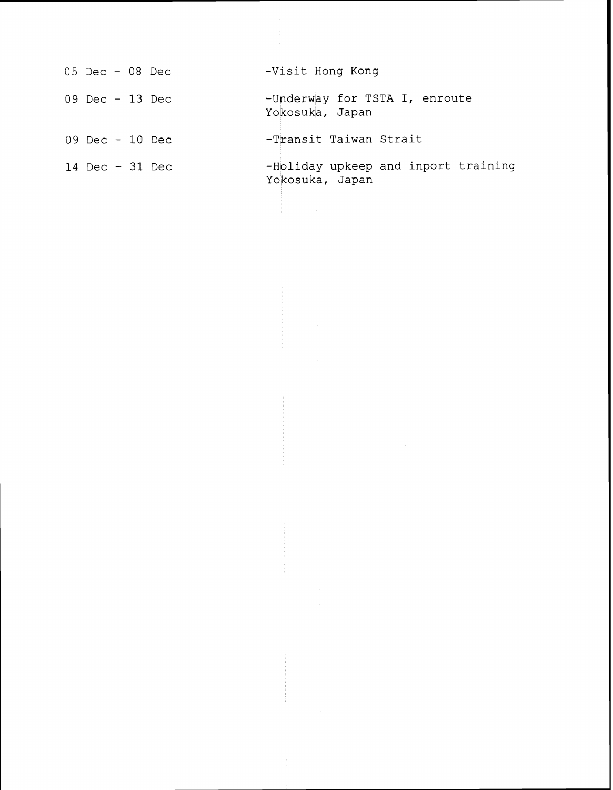| $05$ Dec - 08 Dec | -Visit Hong Kong                                       |
|-------------------|--------------------------------------------------------|
| 09 Dec $-13$ Dec  | -Underway for TSTA I, enroute<br>Yokosuka, Japan       |
| 09 Dec $-10$ Dec  | -Transit Taiwan Strait                                 |
| 14 Dec $-31$ Dec  | -Holiday upkeep and inport training<br>Yokosuka, Japan |

 $\label{eq:2.1} \begin{split} \mathcal{L}_{\text{max}}(\mathbf{r}) & = \frac{1}{2} \sum_{i=1}^{N} \mathcal{L}_{\text{max}}(\mathbf{r}) \mathcal{L}_{\text{max}}(\mathbf{r}) \\ & = \sum_{i=1}^{N} \mathcal{L}_{\text{max}}(\mathbf{r}) \mathcal{L}_{\text{max}}(\mathbf{r}) \mathcal{L}_{\text{max}}(\mathbf{r}) \mathcal{L}_{\text{max}}(\mathbf{r}) \mathcal{L}_{\text{max}}(\mathbf{r}) \mathcal{L}_{\text{max}}(\mathbf{r}) \mathcal{L}_{\text{max}}(\mathbf{r}) \mathcal{$ 

the control

 $\frac{1}{2} \left( \begin{array}{cc} 1 & 0 \\ 0 & 1 \end{array} \right) \left( \begin{array}{cc} 1 & 0 \\ 0 & 1 \end{array} \right) = \left( \begin{array}{cc} 1 & 0 \\ 0 & 1 \end{array} \right)$ 

 $\label{eq:2.1} \begin{split} \mathcal{L}^{(1)}_{\mathcal{M}}(\mathcal{L}_{\mathcal{M}}) & = \mathcal{L}^{(1)}_{\mathcal{M}}(\mathcal{L}_{\mathcal{M}}) \mathcal{L}^{(1)}_{\mathcal{M}}(\mathcal{L}_{\mathcal{M}}) \\ & = \mathcal{L}^{(1)}_{\mathcal{M}}(\mathcal{L}_{\mathcal{M}}) \mathcal{L}^{(1)}_{\mathcal{M}}(\mathcal{L}_{\mathcal{M}}) \mathcal{L}^{(1)}_{\mathcal{M}}(\mathcal{L}_{\mathcal{M}}) \mathcal{L}^{(1)}_{\mathcal{M}}(\mathcal{$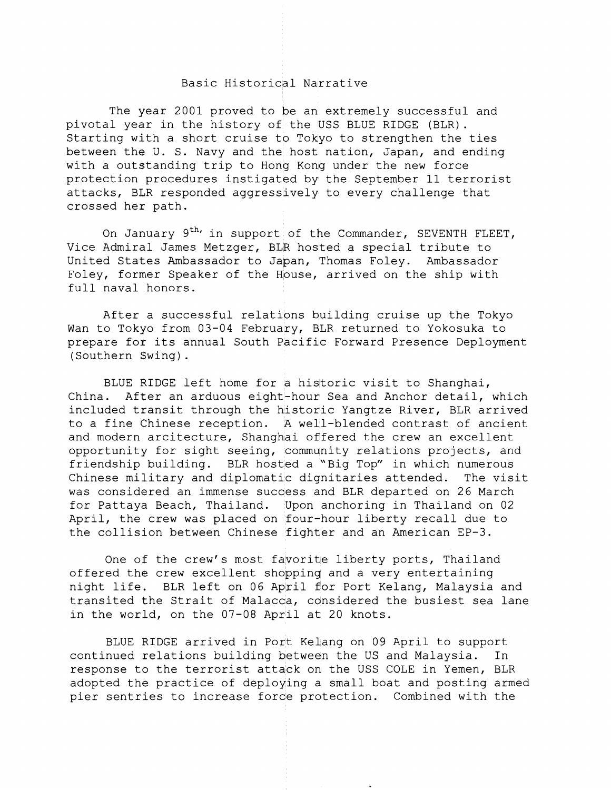## Basic Historical Narrative

The year 2001 proved to be an extremely successful and pivotal year in the history of the USS BLUE RIDGE (BLR). Starting with a short cruise to Tokyo to strengthen the ties between the U. S. Navy and the host nation, Japan, and ending with a outstanding trip to Hong Kong under the new force protection procedures instigated by the September 11 terrorist attacks, BLR responded aggressively to every challenge that crossed her path.

On January  $9^{th}$  in support of the Commander, SEVENTH FLEET, Vice Admiral James Metzger, BLR hosted a special tribute to United States Ambassador to Japan, Thomas Foley. Ambassador Foley, former Speaker of the House, arrived on the ship with full naval honors.

After a successful relations building cruise up the Tokyo Wan to Tokyo from 03-04 February, BLR returned to Yokosuka to prepare for its annual South Pacific Forward Presence Deployment (Southern Swing).

BLUE RIDGE left home for a historic visit to Shanghai, China. After an arduous eight-hour Sea and Anchor detail, which included transit through the historic Yangtze River, BLR arrived to a fine Chinese reception. A well-blended contrast of ancient and modern arcitecture, Shanghai offered the crew an excellent opportunity for sight seeing, community relations projects, and friendship building. BLR hosted a "Big Top" in which numerous Chinese military and diplomatic dignitaries attended. The visit was considered an immense success and BLR departed on 26 March for Pattaya Beach, Thailand. Upon anchoring in Thailand on 02 April, the crew was placed on four-hour liberty recall due to the collision between Chinese fighter and an American EP-3.

One of the crew's most favorite liberty ports, Thailand offered the crew excellent shopping and a very entertaining night life. BLR left on 06 April for Port Kelang, Malaysia and transited the Strait of Malacca, considered the busiest sea lane in the world, on the 07-08 April at 20 knots.

BLUE RIDGE arrived in Port KeLang on 09 April to support continued relations building betwean the US and Malaysia. In response to the terrorist attack on the USS COLE in Yemen, BLR adopted the practice of deploying a small boat and posting armed pier sentries to increase force protection. Combined with the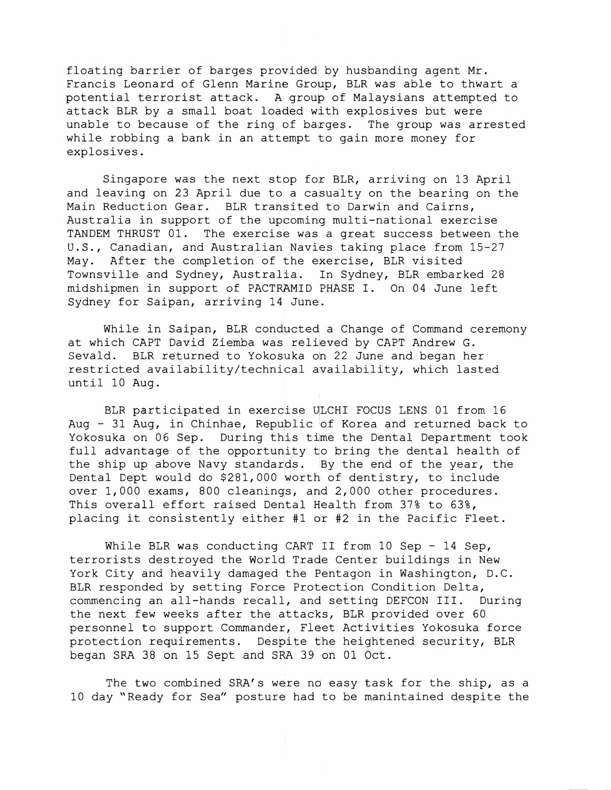floating barrier of barges provided by husbanding agent Mr. Francis Leonard of Glenn Marine Group, BLR was able to thwart a potential terrorist attack. A group of Malaysians attempted to attack BLR by a small boat loaded with explosives but were unable to because of the ring of barges. The group was arrested while robbing a bank in an attempt to gain more money for explosives.

Singapore was the next stop for BLR, arriving on 13 April and leaving on 23 April due to a casualty on the bearing on the Main Reduction Gear. BLR transited to Darwin and Cairns, Australia in support of the upcoming multi-national exercise TANDEM THRUST 01. The exercise was a great success between the U.S., Canadian, and Australian Navies taking place from 15-27 May. After the completion of the exercise, BLR visited Townsville and Sydney, Australia. In Sydney, BLR embarked 28 midshipmen in support of PACTRAMID PHASE I. On 04 June left Sydney for Saipan, arriving 14 June.

While in Saipan, BLR conducted a Change of Command ceremony at which CAPT David Ziemba was relileved by CAPT Andrew G. Sevald. BLR returned to Yokosuka on 22 June and began her restricted availability/technical availability, which lasted until 10 Aug.

BLR participated in exercise ULCHI FOCUS LENS 01 from 16 Aug - 31 Aug, in Chinhae, Republic of Korea and returned back to Yokosuka on 06 Sep. During this time the Dental Department took full advantage of the opportunity to bring the dental health of the ship up above Navy standards. By the end of the year, the Dental Cept would do \$281,000 worth of dentistry, to include over 1,000 exams, 800 cleanings, and 2,000 other procedures. This overall effort raised Dental Health from 37% to 63%, placing it consistently either #1 ar #2 in the Pacific Fleet.

While BLR was conducting CART II from 10 Sep - 14 Sep, terrorists destroyed the World Trade Center buildings in New York City and heavily damaged the Bentagon in Washington, D.C. BLR responded by setting Force Protection Condition Delta, commencing an all-hands recall, and setting DEFCON 111. During the next few weeks after the attacks, BLR provided over 60 personnel to support Commander, Fleet Activities Yokosuka force protection requirements. Despite the heightened security, BLR began SFA 38 on 15 Sept and SRA 39 on 01 Oct.

The two combined SRA's were no easy task for the ship, as a 10 day "Ready for Sea" posture had to be manintained despite the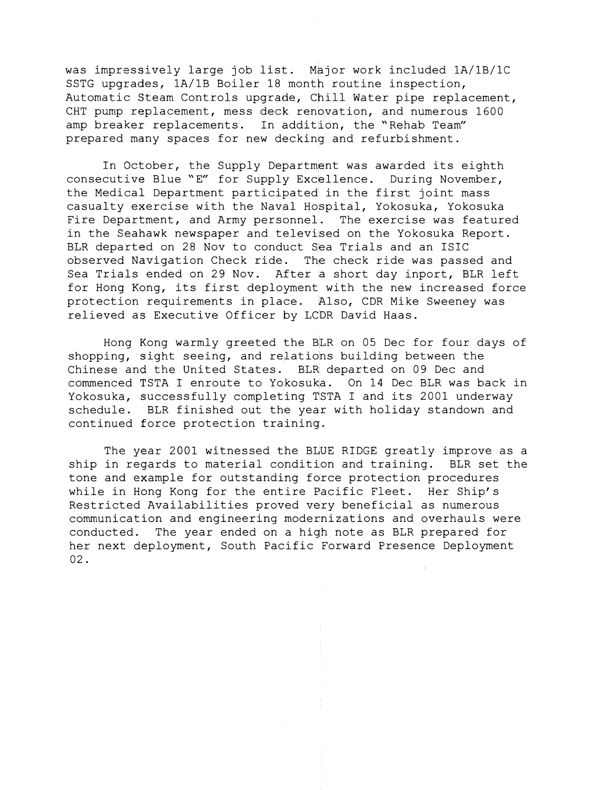was impressively large job list. Major work included lA/lB/lC SSTG upgrades, lA/lB Boiler 18 month routine inspection, Automatic Steam Controls upgrade, chill Water pipe replacement, CHT pump replacement, mess deck renovation, and numerous 1600 amp breaker replacements. In addition, the "Rehab Team" prepared many spaces for new decking and refurbishment.

In October, the Supply Department was awarded its eighth consecutive Blue "E" for Supply Excellence. During November, the Medical Department participated in the first joint mass casualty exercise with the Naval Hospital, Yokosuka, Yokosuka Fire Department, and Army personnel. The exercise was featured in the Seahawk newspaper and televised on the Yokosuka Report. BLR departed on 28 Nov to conduct Sea Trials and an ISIC observed Navigation Check ride. The check ride was passed and Sea Trials ended on 29 Nov. After **a** short day inport, BLR left for Hong Kong, its first deployment with the new increased force protection requirements in place. Also, CDR Mike Sweeney was relieved as Executive Officer by LCDR David Haas.

Hong Kong warmly greeted the BLR on 05 Dec for four days of shopping, sight seeing, and relations building between the Chinese and the United States. BLR departed on 09 Dec and commenced TSTA I enroute to Yokosuka. On 14 Dec BLR was back in Yokosuka, successfully completing TSTA I and its 2001 underway schedule. BLR finished out the year with holiday standown and continued force protection training.

The year 2001 witnessed the BLUE RIDGE greatly improve as a ship in regards to material condition and training. BLR set the tone and example for outstanding force protection procedures while in Hong Kong for the entire Pacific Fleet. Her Ship's Restricted Availabilities proved very beneficial as numerous communication and engineering modennizations and overhauls were conducted. The year ended on a high note as BLR prepared for her next deployment, South Pacific Forward Presence Deployment 02.